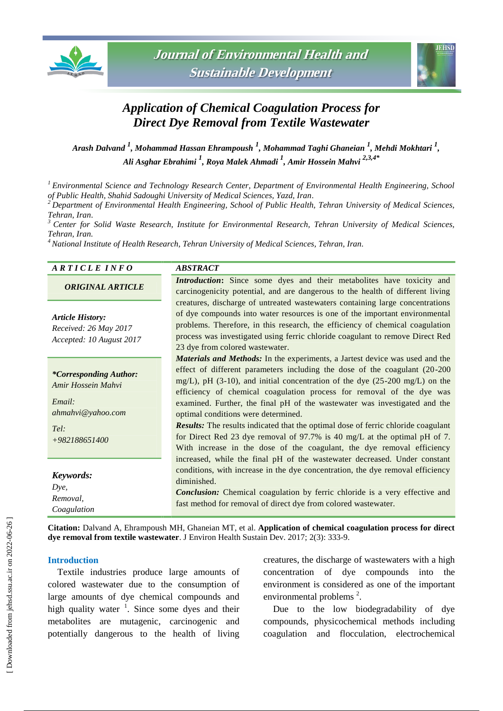



# *Application of Chemical Coagulation Process for Direct Dye Removal from Textile Wastewater*

*Arash Dalvand <sup>1</sup> , Mohammad Hassan Ehrampoush <sup>1</sup> , Mohammad Taghi Ghaneian <sup>1</sup> , Mehdi Mokhtari <sup>1</sup> , [Ali Asghar Ebrahimi](http://jehsd.ssu.ac.ir/search.php?sid=1&slc_lang=en&auth=Ebrahimi) <sup>1</sup> , Roya Malek Ahmadi <sup>1</sup> , Amir Hossein Mahvi 2,3,4\**

*<sup>1</sup> Environmental Science and Technology Research Center, Department of Environmental Health Engineering, School of Public Health, Shahid Sadoughi University of Medical Sciences, Yazd, Iran.*

*<sup>2</sup> Department of Environmental Health Engineering, School of Public Health, Tehran University of Medical Sciences, Tehran, Iran*.

*<sup>3</sup> Center for Solid Waste Research, Institute for Environmental Research, Tehran University of Medical Sciences, Tehran, Iran.*

*<sup>4</sup> National Institute of Health Research, Tehran University of Medical Sciences, Tehran, Iran.*

| A R T I C L E I N F O    | <b>ABSTRACT</b>                                                                                                                                         |
|--------------------------|---------------------------------------------------------------------------------------------------------------------------------------------------------|
| <b>ORIGINAL ARTICLE</b>  | Introduction: Since some dyes and their metabolites have toxicity and<br>carcinogenicity potential, and are dangerous to the health of different living |
|                          | creatures, discharge of untreated wastewaters containing large concentrations                                                                           |
| <b>Article History:</b>  | of dye compounds into water resources is one of the important environmental                                                                             |
| Received: 26 May 2017    | problems. Therefore, in this research, the efficiency of chemical coagulation                                                                           |
| Accepted: 10 August 2017 | process was investigated using ferric chloride coagulant to remove Direct Red                                                                           |
|                          |                                                                                                                                                         |

optimal conditions were determined.

*\*Corresponding Author: Amir Hossein Mahvi*

*Email: ahmahvi@yahoo.com*

*Tel: +982188651400*

*Keywords:*

| ____,       |  |
|-------------|--|
| Dye,        |  |
| Removal,    |  |
| Coagulation |  |

23 dye from colored wastewater. *Materials and Methods:* In the experiments, a Jartest device was used and the effect of different parameters including the dose of the coagulant (20-200 mg/L), pH (3-10), and initial concentration of the dye (25-200 mg/L) on the efficiency of chemical coagulation process for removal of the dye was examined. Further, the final pH of the wastewater was investigated and the

*Results:* The results indicated that the optimal dose of ferric chloride coagulant for Direct Red 23 dye removal of 97.7% is 40 mg/L at the optimal pH of 7. With increase in the dose of the coagulant, the dye removal efficiency increased, while the final pH of the wastewater decreased. Under constant conditions, with increase in the dye concentration, the dye removal efficiency diminished.

*Conclusion:* Chemical coagulation by ferric chloride is a very effective and fast method for removal of direct dye from colored wastewater.

**Citation:** Dalvand A, Ehrampoush MH, Ghaneian MT, et al. **Application of chemical coagulation process for direct dye removal from textile wastewater**. J Environ Health Sustain Dev. 2017; 2(3): 333-9.

### **Introduction**

Textile industries produce large amounts of colored wastewater due to the consumption of large amounts of dye chemical compounds and high quality water  $\frac{1}{1}$ . Since some dyes and their metabolites are mutagenic, carcinogenic and potentially dangerous to the health of living

creatures, the discharge of wastewaters with a high concentration of dye compounds into the environment is considered as one of the important environmental problems $^2$ .

Due to the low biodegradability of dye compounds, physicochemical methods including coagulation and flocculation, electrochemical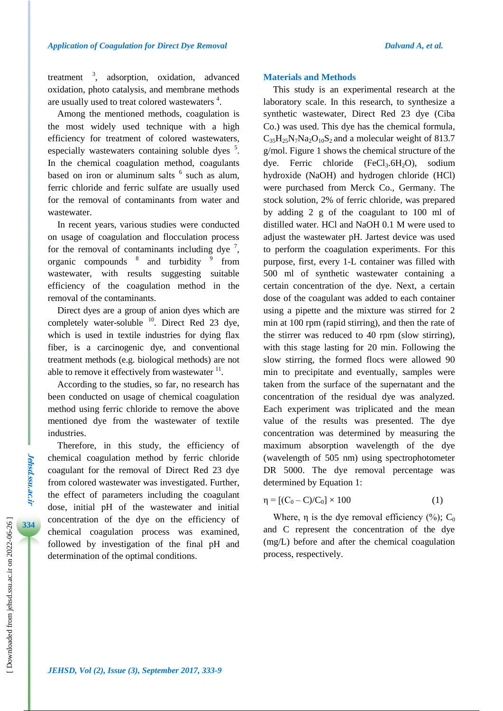treatment  $\frac{3}{2}$ , adsorption, oxidation, advanced oxidation, photo catalysis, and membrane methods are usually used to treat colored wastewaters<sup>4</sup>.

Among the mentioned methods, coagulation is the most widely used technique with a high efficiency for treatment of colored wastewaters, especially wastewaters containing soluble dyes <sup>5</sup>. In the chemical coagulation method, coagulants based on iron or aluminum salts  $6$  such as alum, ferric chloride and ferric sulfate are usually used for the removal of contaminants from water and wastewater.

In recent years, various studies were conducted on usage of coagulation and flocculation process for the removal of contaminants including dye<sup>7</sup>, organic compounds <sup>8</sup> and turbidity <sup>9</sup> from wastewater, with results suggesting suitable efficiency of the coagulation method in the removal of the contaminants.

Direct dyes are a group of anion dyes which are completely water-soluble  $^{10}$ . Direct Red 23 dye, which is used in textile industries for dying flax fiber, is a carcinogenic dye, and conventional treatment methods (e.g. biological methods) are not able to remove it effectively from wastewater  $<sup>11</sup>$ .</sup>

According to the studies, so far, no research has been conducted on usage of chemical coagulation method using ferric chloride to remove the above mentioned dye from the wastewater of textile industries.

Therefore, in this study, the efficiency of chemical coagulation method by ferric chloride coagulant for the removal of Direct Red 23 dye from colored wastewater was investigated. Further, the effect of parameters including the coagulant dose, initial pH of the wastewater and initial concentration of the dye on the efficiency of chemical coagulation process was examined, followed by investigation of the final pH and determination of the optimal conditions.

### **Materials and Methods**

This study is an experimental research at the laboratory scale. In this research, to synthesize a synthetic wastewater, Direct Red 23 dye (Ciba Co.) was used. This dye has the chemical formula,  $C_{35}H_{25}N_7Na_2O_{10}S_2$  and a molecular weight of 813.7 g/mol. Figure 1 shows the chemical structure of the dye. Ferric chloride  $(FeCl<sub>3</sub>.6H<sub>2</sub>O)$ , sodium hydroxide (NaOH) and hydrogen chloride (HCl) were purchased from Merck Co., Germany. The stock solution, 2% of ferric chloride, was prepared by adding 2 g of the coagulant to 100 ml of distilled water. HCl and NaOH 0.1 M were used to adjust the wastewater pH. Jartest device was used to perform the coagulation experiments. For this purpose, first, every 1-L container was filled with 500 ml of synthetic wastewater containing a certain concentration of the dye. Next, a certain dose of the coagulant was added to each container using a pipette and the mixture was stirred for 2 min at 100 rpm (rapid stirring), and then the rate of the stirrer was reduced to 40 rpm (slow stirring), with this stage lasting for 20 min. Following the slow stirring, the formed flocs were allowed 90 min to precipitate and eventually, samples were taken from the surface of the supernatant and the concentration of the residual dye was analyzed. Each experiment was triplicated and the mean value of the results was presented. The dye concentration was determined by measuring the maximum absorption wavelength of the dye (wavelength of 505 nm) using spectrophotometer DR 5000. The dye removal percentage was determined by Equation 1:

$$
\eta = [(C_0 - C)/C_0] \times 100 \tag{1}
$$

Where,  $\eta$  is the dye removal efficiency (%); C<sub>0</sub> and C represent the concentration of the dye (mg/L) before and after the chemical coagulation process, respectively.

**Jehsd.ssu.ac.ir**

**Jehsd.ssu.ac.ir**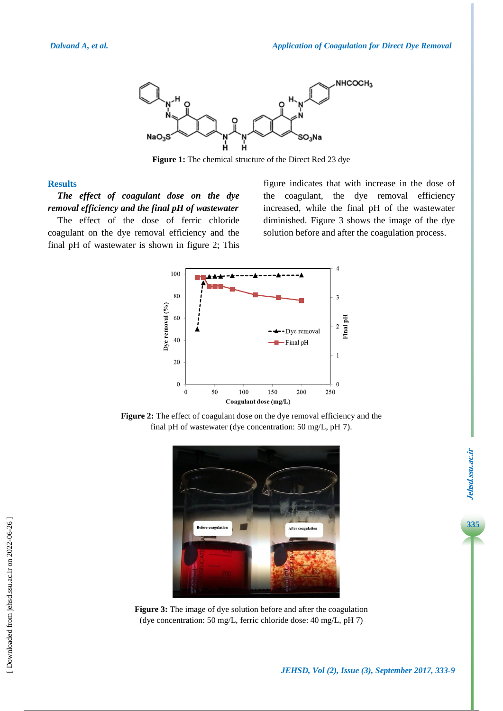

**Figure 1:** The chemical structure of the Direct Red 23 dye

### **Results**

*The effect of coagulant dose on the dye removal efficiency and the final pH of wastewater* The effect of the dose of ferric chloride

coagulant on the dye removal efficiency and the final pH of wastewater is shown in figure 2; This figure indicates that with increase in the dose of the coagulant, the dye removal efficiency increased, while the final pH of the wastewater diminished. Figure 3 shows the image of the dye solution before and after the coagulation process.



**Figure 2:** The effect of coagulant dose on the dye removal efficiency and the final pH of wastewater (dye concentration: 50 mg/L, pH 7).



**Figure 3:** The image of dye solution before and after the coagulation (dye concentration: 50 mg/L, ferric chloride dose: 40 mg/L, pH 7)

**335**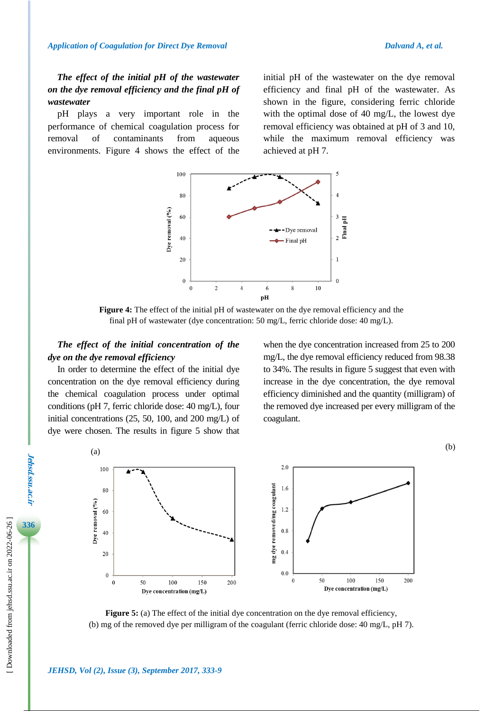# *The effect of the initial pH of the wastewater on the dye removal efficiency and the final pH of wastewater*

pH plays a very important role in the performance of chemical coagulation process for removal of contaminants from aqueous environments. Figure 4 shows the effect of the initial pH of the wastewater on the dye removal efficiency and final pH of the wastewater. As shown in the figure, considering ferric chloride with the optimal dose of 40 mg/L, the lowest dye removal efficiency was obtained at pH of 3 and 10, while the maximum removal efficiency was achieved at pH 7.



**Figure 4:** The effect of the initial pH of wastewater on the dye removal efficiency and the final pH of wastewater (dye concentration: 50 mg/L, ferric chloride dose: 40 mg/L).

### *The effect of the initial concentration of the dye on the dye removal efficiency*

In order to determine the effect of the initial dye concentration on the dye removal efficiency during the chemical coagulation process under optimal conditions (pH 7, ferric chloride dose: 40 mg/L), four initial concentrations (25, 50, 100, and 200 mg/L) of dye were chosen. The results in figure 5 show that when the dye concentration increased from 25 to 200 mg/L, the dye removal efficiency reduced from 98.38 to 34%. The results in figure 5 suggest that even with increase in the dye concentration, the dye removal efficiency diminished and the quantity (milligram) of the removed dye increased per every milligram of the coagulant.





**Figure 5:** (a) The effect of the initial dye concentration on the dye removal efficiency, (b) mg of the removed dye per milligram of the coagulant (ferric chloride dose: 40 mg/L, pH 7).

 [\[ Downloaded from jehsd.ssu.ac.ir on 2022](https://jehsd.ssu.ac.ir/article-1-82-en.html)-06-26 ]

Downloaded from jehsd.ssu.ac.ir on 2022-06-26

**Jehsd.ssu.ac.ir**

Jehsd.Ssu.ac.u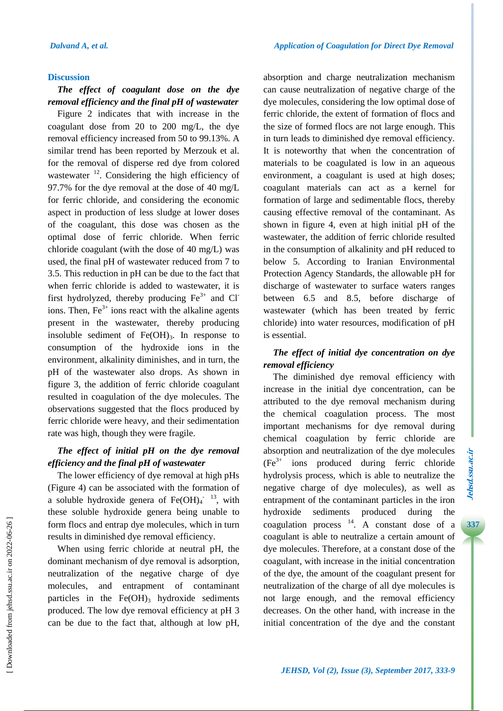### **Discussion**

### *The effect of coagulant dose on the dye removal efficiency and the final pH of wastewater*

Figure 2 indicates that with increase in the coagulant dose from 20 to 200 mg/L, the dye removal efficiency increased from 50 to 99.13%. A similar trend has been reported by Merzouk et al. for the removal of disperse red dye from colored wastewater <sup>12</sup>. Considering the high efficiency of 97.7% for the dye removal at the dose of 40 mg/L for ferric chloride, and considering the economic aspect in production of less sludge at lower doses of the coagulant, this dose was chosen as the optimal dose of ferric chloride. When ferric chloride coagulant (with the dose of 40 mg/L) was used, the final pH of wastewater reduced from 7 to 3.5. This reduction in pH can be due to the fact that when ferric chloride is added to wastewater, it is first hydrolyzed, thereby producing  $Fe<sup>3+</sup>$  and Cl<sup>-</sup> ions. Then,  $Fe^{3+}$  ions react with the alkaline agents present in the wastewater, thereby producing insoluble sediment of  $Fe(OH)_3$ . In response to consumption of the hydroxide ions in the environment, alkalinity diminishes, and in turn, the pH of the wastewater also drops. As shown in figure 3, the addition of ferric chloride coagulant resulted in coagulation of the dye molecules. The observations suggested that the flocs produced by ferric chloride were heavy, and their sedimentation rate was high, though they were fragile.

# *The effect of initial pH on the dye removal efficiency and the final pH of wastewater*

The lower efficiency of dye removal at high pHs (Figure 4) can be associated with the formation of a soluble hydroxide genera of  $Fe(OH)<sub>4</sub>$ <sup>-13</sup>, with these soluble hydroxide genera being unable to form flocs and entrap dye molecules, which in turn results in diminished dye removal efficiency.

When using ferric chloride at neutral pH, the dominant mechanism of dye removal is adsorption, neutralization of the negative charge of dye molecules, and entrapment of contaminant particles in the  $Fe(OH)$ <sub>3</sub> hydroxide sediments produced. The low dye removal efficiency at pH 3 can be due to the fact that, although at low pH, absorption and charge neutralization mechanism can cause neutralization of negative charge of the dye molecules, considering the low optimal dose of ferric chloride, the extent of formation of flocs and the size of formed flocs are not large enough. This in turn leads to diminished dye removal efficiency. It is noteworthy that when the concentration of materials to be coagulated is low in an aqueous environment, a coagulant is used at high doses; coagulant materials can act as a kernel for formation of large and sedimentable flocs, thereby causing effective removal of the contaminant. As shown in figure 4, even at high initial pH of the wastewater, the addition of ferric chloride resulted in the consumption of alkalinity and pH reduced to below 5. According to Iranian Environmental Protection Agency Standards, the allowable pH for discharge of wastewater to surface waters ranges between 6.5 and 8.5, before discharge of wastewater (which has been treated by ferric chloride) into water resources, modification of pH is essential.

## *The effect of initial dye concentration on dye removal efficiency*

The diminished dye removal efficiency with increase in the initial dye concentration, can be attributed to the dye removal mechanism during the chemical coagulation process. The most important mechanisms for dye removal during chemical coagulation by ferric chloride are absorption and neutralization of the dye molecules  $(Fe<sup>3+</sup>$  ions produced during ferric chloride hydrolysis process, which is able to neutralize the negative charge of dye molecules), as well as entrapment of the contaminant particles in the iron hydroxide sediments produced during the coagulation process  $14$ . A constant dose of a coagulant is able to neutralize a certain amount of dye molecules. Therefore, at a constant dose of the coagulant, with increase in the initial concentration of the dye, the amount of the coagulant present for neutralization of the charge of all dye molecules is not large enough, and the removal efficiency decreases. On the other hand, with increase in the initial concentration of the dye and the constant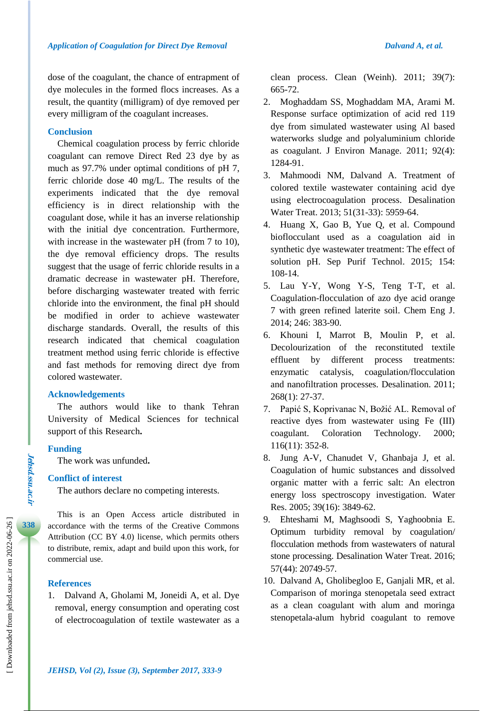dose of the coagulant, the chance of entrapment of dye molecules in the formed flocs increases. As a result, the quantity (milligram) of dye removed per every milligram of the coagulant increases.

### **Conclusion**

Chemical coagulation process by ferric chloride coagulant can remove Direct Red 23 dye by as much as 97.7% under optimal conditions of pH 7, ferric chloride dose 40 mg/L. The results of the experiments indicated that the dye removal efficiency is in direct relationship with the coagulant dose, while it has an inverse relationship with the initial dye concentration. Furthermore, with increase in the wastewater pH (from 7 to 10), the dye removal efficiency drops. The results suggest that the usage of ferric chloride results in a dramatic decrease in wastewater pH. Therefore, before discharging wastewater treated with ferric chloride into the environment, the final pH should be modified in order to achieve wastewater discharge standards. Overall, the results of this research indicated that chemical coagulation treatment method using ferric chloride is effective and fast methods for removing direct dye from colored wastewater.

### **Acknowledgements**

The authors would like to thank Tehran University of Medical Sciences for technical support of this Research**.**

### **Funding**

**Jehsd.ssu.ac.ir**

Jehsd.ssu.ac.ir

**338**

The work was unfunded**.**

### **Conflict of interest**

The authors declare no competing interests.

This is an Open Access article distributed in accordance with the terms of the Creative Commons Attribution (CC BY 4.0) license, which permits others to distribute, remix, adapt and build upon this work, for commercial use.

### **References**

1. Dalvand A, Gholami M, Joneidi A, et al. Dye removal, energy consumption and operating cost of electrocoagulation of textile wastewater as a clean process. Clean (Weinh). 2011; 39(7): 665-72.

- 2. Moghaddam SS, Moghaddam MA, Arami M. Response surface optimization of acid red 119 dye from simulated wastewater using Al based waterworks sludge and polyaluminium chloride as coagulant. J Environ Manage. 2011; 92(4): 1284-91.
- 3. Mahmoodi NM, Dalvand A. Treatment of colored textile wastewater containing acid dye using electrocoagulation process. Desalination Water Treat. 2013; 51(31-33): 5959-64.
- 4. Huang X, Gao B, Yue Q, et al. Compound bioflocculant used as a coagulation aid in synthetic dye wastewater treatment: The effect of solution pH. Sep Purif Technol. 2015; 154: 108-14.
- 5. Lau Y-Y, Wong Y-S, Teng T-T, et al. Coagulation-flocculation of azo dye acid orange 7 with green refined laterite soil. Chem Eng J. 2014; 246: 383-90.
- 6. Khouni I, Marrot B, Moulin P, et al. Decolourization of the reconstituted textile effluent by different process treatments: enzymatic catalysis, coagulation/flocculation and nanofiltration processes. Desalination. 2011; 268(1): 27-37.
- 7. Papić S, Koprivanac N, Božić AL. Removal of reactive dyes from wastewater using Fe (III) coagulant. Coloration Technology. 2000; 116(11): 352-8.
- 8. Jung A-V, Chanudet V, Ghanbaja J, et al. Coagulation of humic substances and dissolved organic matter with a ferric salt: An electron energy loss spectroscopy investigation. Water Res. 2005; 39(16): 3849-62.
- 9. Ehteshami M, Maghsoodi S, Yaghoobnia E. Optimum turbidity removal by coagulation/ flocculation methods from wastewaters of natural stone processing. Desalination Water Treat. 2016; 57(44): 20749-57.
- 10. Dalvand A, Gholibegloo E, Ganjali MR, et al. Comparison of moringa stenopetala seed extract as a clean coagulant with alum and moringa stenopetala-alum hybrid coagulant to remove